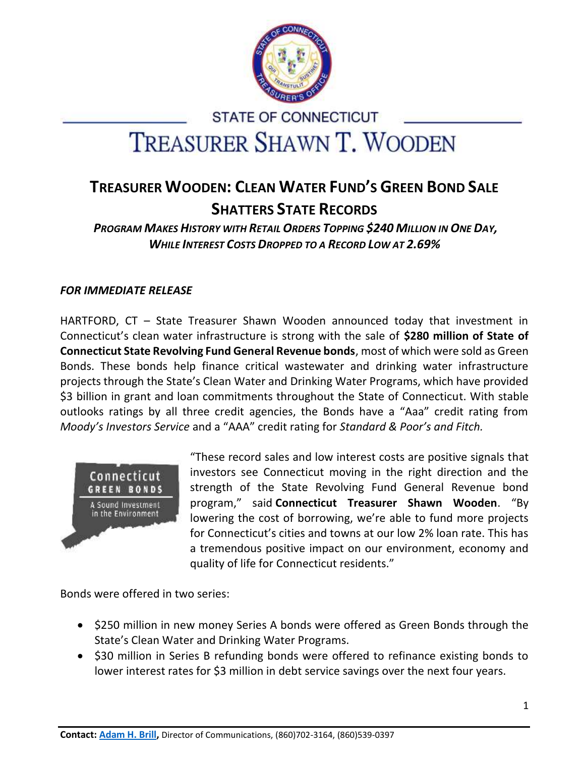

# **STATE OF CONNECTICUT TREASURER SHAWN T. WOODEN**

# **TREASURER WOODEN: CLEAN WATER FUND'S GREEN BOND SALE SHATTERS STATE RECORDS**

*PROGRAM MAKES HISTORY WITH RETAIL ORDERS TOPPING \$240 MILLION IN ONE DAY, WHILE INTEREST COSTS DROPPED TO A RECORD LOW AT 2.69%*

## *FOR IMMEDIATE RELEASE*

HARTFORD, CT – State Treasurer Shawn Wooden announced today that investment in Connecticut's clean water infrastructure is strong with the sale of **\$280 million of State of Connecticut State Revolving Fund General Revenue bonds**, most of which were sold as Green Bonds. These bonds help finance critical wastewater and drinking water infrastructure projects through the State's Clean Water and Drinking Water Programs, which have provided \$3 billion in grant and loan commitments throughout the State of Connecticut. With stable outlooks ratings by all three credit agencies, the Bonds have a "Aaa" credit rating from *Moody's Investors Service* and a "AAA" credit rating for *Standard & Poor's and Fitch.*



"These record sales and low interest costs are positive signals that investors see Connecticut moving in the right direction and the strength of the State Revolving Fund General Revenue bond program," said **Connecticut Treasurer Shawn Wooden**. "By lowering the cost of borrowing, we're able to fund more projects for Connecticut's cities and towns at our low 2% loan rate. This has a tremendous positive impact on our environment, economy and quality of life for Connecticut residents."

Bonds were offered in two series:

- \$250 million in new money Series A bonds were offered as Green Bonds through the State's Clean Water and Drinking Water Programs.
- \$30 million in Series B refunding bonds were offered to refinance existing bonds to lower interest rates for \$3 million in debt service savings over the next four years.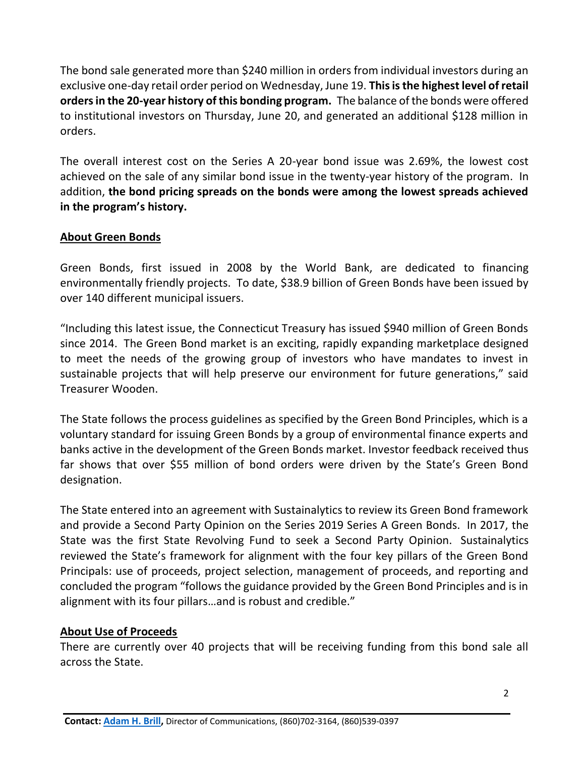The bond sale generated more than \$240 million in orders from individual investors during an exclusive one-day retail order period on Wednesday, June 19. **This is the highest level of retail orders in the 20-year history of this bonding program.** The balance of the bonds were offered to institutional investors on Thursday, June 20, and generated an additional \$128 million in orders.

The overall interest cost on the Series A 20-year bond issue was 2.69%, the lowest cost achieved on the sale of any similar bond issue in the twenty-year history of the program. In addition, **the bond pricing spreads on the bonds were among the lowest spreads achieved in the program's history.**

#### **About Green Bonds**

Green Bonds, first issued in 2008 by the World Bank, are dedicated to financing environmentally friendly projects. To date, \$38.9 billion of Green Bonds have been issued by over 140 different municipal issuers.

"Including this latest issue, the Connecticut Treasury has issued \$940 million of Green Bonds since 2014. The Green Bond market is an exciting, rapidly expanding marketplace designed to meet the needs of the growing group of investors who have mandates to invest in sustainable projects that will help preserve our environment for future generations," said Treasurer Wooden.

The State follows the process guidelines as specified by the Green Bond Principles, which is a voluntary standard for issuing Green Bonds by a group of environmental finance experts and banks active in the development of the Green Bonds market. Investor feedback received thus far shows that over \$55 million of bond orders were driven by the State's Green Bond designation.

The State entered into an agreement with Sustainalytics to review its Green Bond framework and provide a Second Party Opinion on the Series 2019 Series A Green Bonds. In 2017, the State was the first State Revolving Fund to seek a Second Party Opinion. Sustainalytics reviewed the State's framework for alignment with the four key pillars of the Green Bond Principals: use of proceeds, project selection, management of proceeds, and reporting and concluded the program "follows the guidance provided by the Green Bond Principles and is in alignment with its four pillars…and is robust and credible."

#### **About Use of Proceeds**

There are currently over 40 projects that will be receiving funding from this bond sale all across the State.